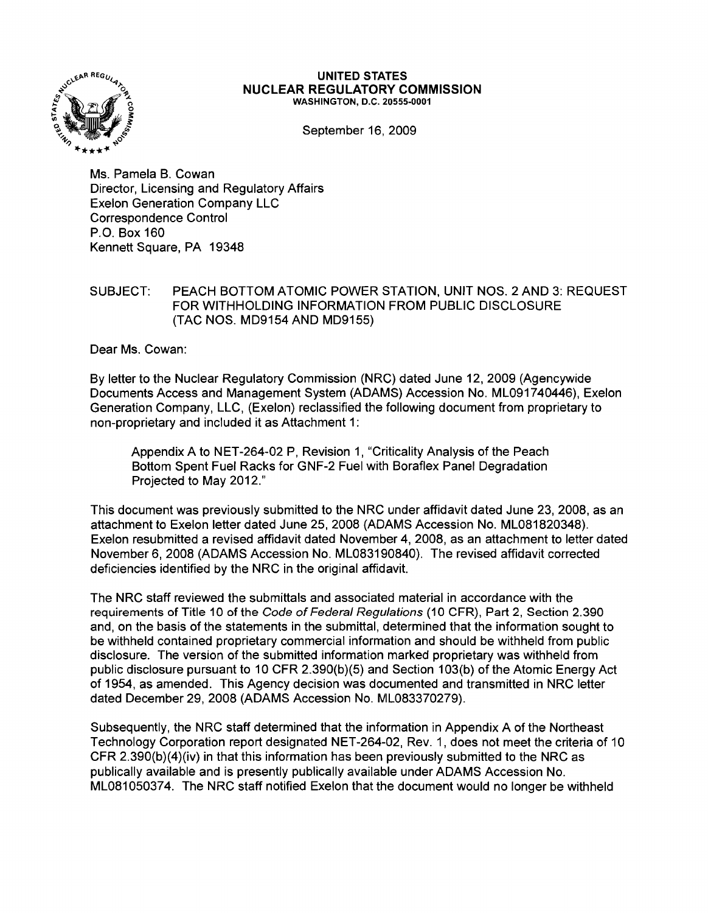

## **UNITED STATES NUCLEAR REGULATORY COMMISSION** WASHINGTON, D.C. 20555-0001

September 16, 2009

Ms. Pamela B. Cowan Director, Licensing and Regulatory Affairs Exelon Generation Company LLC Correspondence Control P.O. Box 160 Kennett Square, PA 19348

## SUBJECT: PEACH BOTTOM ATOMIC POWER STATION, UNIT NOS. 2 AND 3: REQUEST FOR WITHHOLDING INFORMATION FROM PUBLIC DISCLOSURE (TAC NOS. MD9154AND MD9155)

Dear Ms. Cowan:

By letter to the Nuclear Regulatory Commission (NRC) dated June 12, 2009 (Agencywide Documents Access and Management System (ADAMS) Accession No. ML091740446), Exelon Generation Company, LLC, (Exelon) reclassified the following document from proprietary to non-proprietary and included it as Attachment 1:

Appendix A to NET-264-02 P, Revision 1, "Criticality Analysis of the Peach Bottom Spent Fuel Racks for GNF-2 Fuel with Boraflex Panel Degradation Projected to May 2012."

This document was previously submitted to the NRC under affidavit dated June 23, 2008, as an attachment to Exelon letter dated June 25,2008 (ADAMS Accession No. ML081820348). Exelon resubmitted a revised affidavit dated November 4, 2008, as an attachment to letter dated November 6, 2008 (ADAMS Accession No. ML083190840). The revised affidavit corrected deficiencies identified by the NRC in the original affidavit.

The NRC staff reviewed the submittals and associated material in accordance with the requirements of Title 10 of the Code of Federal Regulations (10 CFR), Part 2, Section 2.390 and, on the basis of the statements in the submittal, determined that the information sought to be withheld contained proprietary commercial information and should be withheld from public disclosure. The version of the submitted information marked proprietary was withheld from public disclosure pursuant to 10 CFR 2.390(b)(5) and Section 103(b) of the Atomic Energy Act of 1954, as amended. This Agency decision was documented and transmitted in NRC letter dated December 29, 2008 (ADAMS Accession No. ML083370279).

Subsequently, the NRC staff determined that the information in Appendix A of the Northeast Technology Corporation report designated NET-264-02, Rev. 1, does not meet the criteria of 10 CFR 2.390(b)(4)(iv) in that this information has been previously submitted to the NRC as publically available and is presently publically available under ADAMS Accession No. ML081050374. The NRC staff notified Exelon that the document would no longer be withheld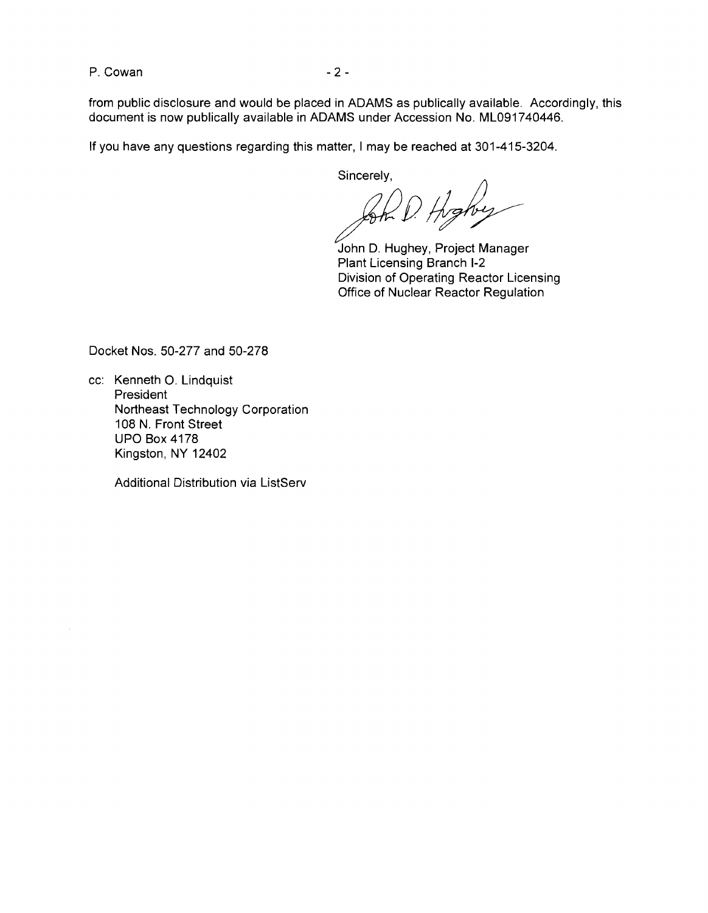P. Cowan - 2

from public disclosure and would be placed in ADAMS as publically available. Accordingly, this document is now publically available in ADAMS under Accession No. ML091740446.

If you have any questions regarding this matter, I may be reached at 301-415-3204.

Sincerely,

for D. Highey

John D. Hughey, Project Manager Plant Licensing Branch 1-2 Division of Operating Reactor Licensing Office of Nuclear Reactor Regulation

Docket Nos. 50-277 and 50-278

cc: Kenneth O. Lindquist President Northeast Technology Corporation 108 N. Front Street UPO Box 4178 Kingston, NY 12402

Additional Distribution via ListServ